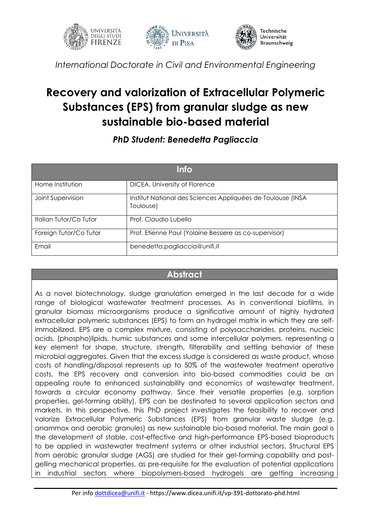



*International Doctorate in Civil and Environmental Engineering*

## **Recovery and valorization of Extracellular Polymeric Substances (EPS) from granular sludge as new sustainable bio-based material**

## *PhD Student: Benedetta Pagliaccia*

| <b>Info</b>            |                                                                          |
|------------------------|--------------------------------------------------------------------------|
| Home Institution       | DICEA, University of Florence                                            |
| Joint Supervision      | Institut National des Sciences Appliquées de Toulouse (INSA<br>Toulouse) |
| Italian Tutor/Co Tutor | Prof. Claudio Lubello                                                    |
| Foreign Tutor/Co Tutor | Prof. Etienne Paul (Yolaine Bessiere as co-supervisor)                   |
| Email                  | benedetta.pagliaccia@unifi.it                                            |

## **Abstract**

As a novel biotechnology, sludge granulation emerged in the last decade for a wide range of biological wastewater treatment processes. As in conventional biofilms, in granular biomass microorganisms produce a significative amount of highly hydrated extracellular polymeric substances (EPS) to form an hydrogel matrix in which they are selfimmobilized. EPS are a complex mixture, consisting of polysaccharides, proteins, nucleic acids, (phospho)lipids, humic substances and some intercellular polymers, representing a key element for shape, structure, strength, filterability and settling behavior of these microbial aggregates. Given that the excess sludge is considered as waste product, whose costs of handling/disposal represents up to 50% of the wastewater treatment operative costs, the EPS recovery and conversion into bio-based commodities could be an appealing route to enhanced sustainability and economics of wastewater treatment, towards a circular economy pathway. Since their versatile properties (e.g. sorption properties, gel-forming ability), EPS can be destinated to several application sectors and markets. In this perspective, this PhD project investigates the feasibility to recover and valorize Extracellular Polymeric Substances (EPS) from granular waste sludge (e.g. anammox and aerobic granules) as new sustainable bio-based material. The main goal is the development of stable, cost-effective and high-performance EPS-based bioproducts to be applied in wastewater treatment systems or other industrial sectors. Structural EPS from aerobic granular sludge (AGS) are studied for their gel-forming capability and postgelling mechanical properties, as pre-requisite for the evaluation of potential applications in industrial sectors where biopolymers-based hydrogels are getting increasing